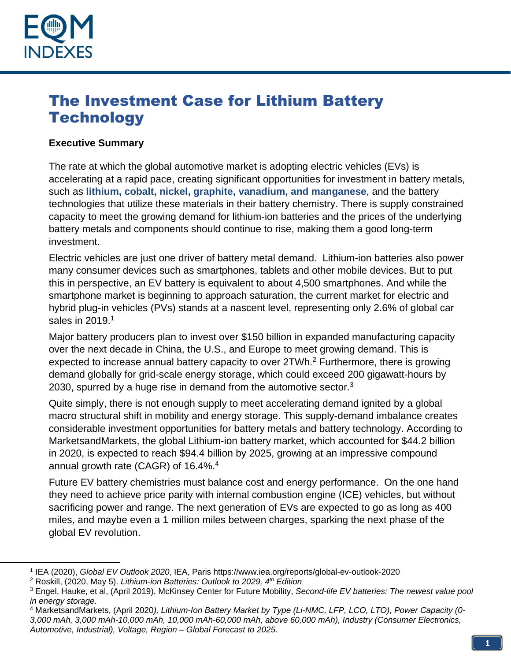

# The Investment Case for Lithium Battery **Technology**

#### **Executive Summary**

The rate at which the global automotive market is adopting electric vehicles (EVs) is accelerating at a rapid pace, creating significant opportunities for investment in battery metals, such as **lithium, cobalt, nickel, graphite, vanadium, and manganese**, and the battery technologies that utilize these materials in their battery chemistry. There is supply constrained capacity to meet the growing demand for lithium-ion batteries and the prices of the underlying battery metals and components should continue to rise, making them a good long-term investment.

Electric vehicles are just one driver of battery metal demand. Lithium-ion batteries also power many consumer devices such as smartphones, tablets and other mobile devices. But to put this in perspective, an EV battery is equivalent to about 4,500 smartphones. And while the smartphone market is beginning to approach saturation, the current market for electric and hybrid plug-in vehicles (PVs) stands at a nascent level, representing only 2.6% of global car sales in 2019. 1

Major battery producers plan to invest over \$150 billion in expanded manufacturing capacity over the next decade in China, the U.S., and Europe to meet growing demand. This is expected to increase annual battery capacity to over 2TWh.<sup>2</sup> Furthermore, there is growing demand globally for grid-scale energy storage, which could exceed 200 gigawatt-hours by 2030, spurred by a huge rise in demand from the automotive sector. $3$ 

Quite simply, there is not enough supply to meet accelerating demand ignited by a global macro structural shift in mobility and energy storage. This supply-demand imbalance creates considerable investment opportunities for battery metals and battery technology. According to MarketsandMarkets, the global Lithium-ion battery market, which accounted for \$44.2 billion in 2020, is expected to reach \$94.4 billion by 2025, growing at an impressive compound annual growth rate (CAGR) of 16.4%. $4$ 

Future EV battery chemistries must balance cost and energy performance. On the one hand they need to achieve price parity with internal combustion engine (ICE) vehicles, but without sacrificing power and range. The next generation of EVs are expected to go as long as 400 miles, and maybe even a 1 million miles between charges, sparking the next phase of the global EV revolution.

<sup>1</sup> IEA (2020), *Global EV Outlook 2020*, IEA, Paris https://www.iea.org/reports/global-ev-outlook-2020

<sup>2</sup> Roskill, (2020, May 5). *Lithium-ion Batteries: Outlook to 2029, 4th Edition*

<sup>3</sup> Engel, Hauke, et al, (April 2019), McKinsey Center for Future Mobility, *Second-life EV batteries: The newest value pool in energy storage*.

<sup>4</sup> MarketsandMarkets, (April 2020*), Lithium-Ion Battery Market by Type (Li-NMC, LFP, LCO, LTO), Power Capacity (0- 3,000 mAh, 3,000 mAh-10,000 mAh, 10,000 mAh-60,000 mAh, above 60,000 mAh), Industry (Consumer Electronics, Automotive, Industrial), Voltage, Region – Global Forecast to 2025*.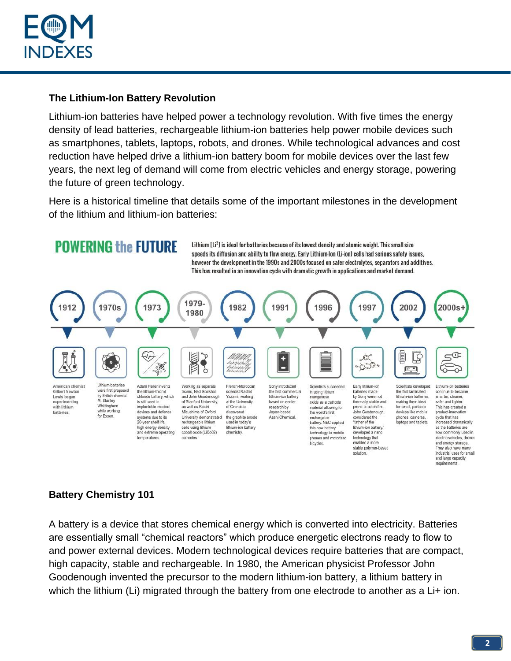

#### **The Lithium-Ion Battery Revolution**

Lithium-ion batteries have helped power a technology revolution. With five times the energy density of lead batteries, rechargeable lithium-ion batteries help power mobile devices such as smartphones, tablets, laptops, robots, and drones. While technological advances and cost reduction have helped drive a lithium-ion battery boom for mobile devices over the last few years, the next leg of demand will come from electric vehicles and energy storage, powering the future of green technology.

Here is a historical timeline that details some of the important milestones in the development of the lithium and lithium-ion batteries:



### **Battery Chemistry 101**

A battery is a device that stores chemical energy which is converted into electricity. Batteries are essentially small "chemical reactors" which produce energetic electrons ready to flow to and power external devices. Modern technological devices require batteries that are compact, high capacity, stable and rechargeable. In 1980, the American physicist Professor John Goodenough invented the precursor to the modern lithium-ion battery, a lithium battery in which the lithium (Li) migrated through the battery from one electrode to another as a Li+ ion.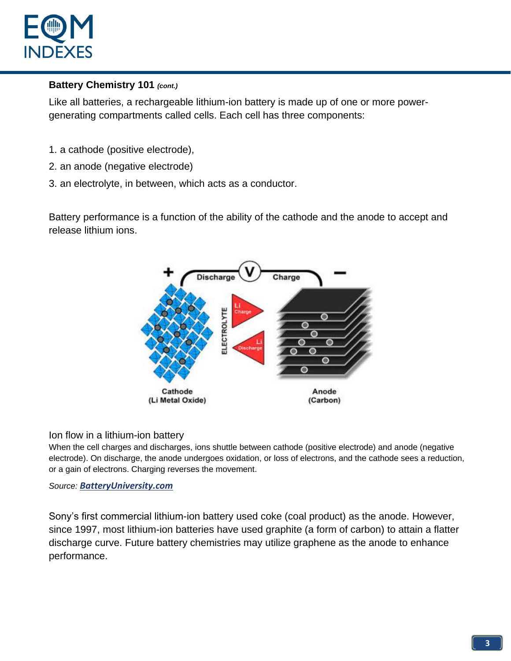

### **Battery Chemistry 101** *(cont.)*

Like all batteries, a rechargeable lithium-ion battery is made up of one or more powergenerating compartments called cells. Each cell has three components:

- 1. a cathode (positive electrode),
- 2. an anode (negative electrode)
- 3. an electrolyte, in between, which acts as a conductor.

Battery performance is a function of the ability of the cathode and the anode to accept and release lithium ions.



#### Ion flow in a lithium-ion battery

When the cell charges and discharges, ions shuttle between cathode (positive electrode) and anode (negative electrode). On discharge, the anode undergoes oxidation, or loss of electrons, and the cathode sees a reduction, or a gain of electrons. Charging reverses the movement.

#### *Source: [BatteryUniversity.com](http://batteryuniversity.com/learn/article/lithium_based_batteries)*

Sony's first commercial lithium-ion battery used coke (coal product) as the anode. However, since 1997, most lithium-ion batteries have used graphite (a form of carbon) to attain a flatter discharge curve. Future battery chemistries may utilize graphene as the anode to enhance performance.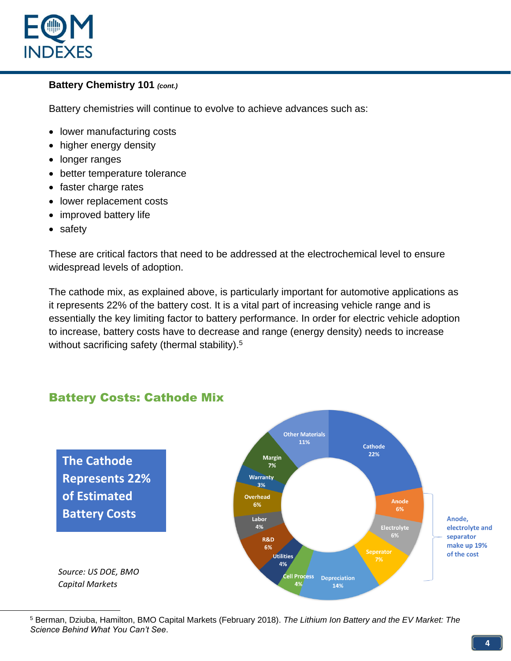

### **Battery Chemistry 101** *(cont.)*

Battery chemistries will continue to evolve to achieve advances such as:

- lower manufacturing costs
- higher energy density
- longer ranges
- better temperature tolerance
- faster charge rates
- lower replacement costs
- improved battery life
- safety

These are critical factors that need to be addressed at the electrochemical level to ensure widespread levels of adoption.

The cathode mix, as explained above, is particularly important for automotive applications as it represents 22% of the battery cost. It is a vital part of increasing vehicle range and is essentially the key limiting factor to battery performance. In order for electric vehicle adoption to increase, battery costs have to decrease and range (energy density) needs to increase without sacrificing safety (thermal stability).<sup>5</sup>

#### **Other Materials** 11% **Cathode** 22% **Margin The Cathode**   $7%$ **Represents 22% Warranty** 3% **of Estimated Overhead Anode** 6% 6% **Battery Costs** Labor Anode, 4% Electrolyte electrolyte and 6% separator **R&D** make up 19% 6% of the cost **Utilities** 7% 4% *Source: US DOE, BMO*  **Cell Process Depreciation** *Capital Markets*4% 14%

# Battery Costs: Cathode Mix

<sup>5</sup> Berman, Dziuba, Hamilton, BMO Capital Markets (February 2018). *The Lithium Ion Battery and the EV Market: The Science Behind What You Can't See*.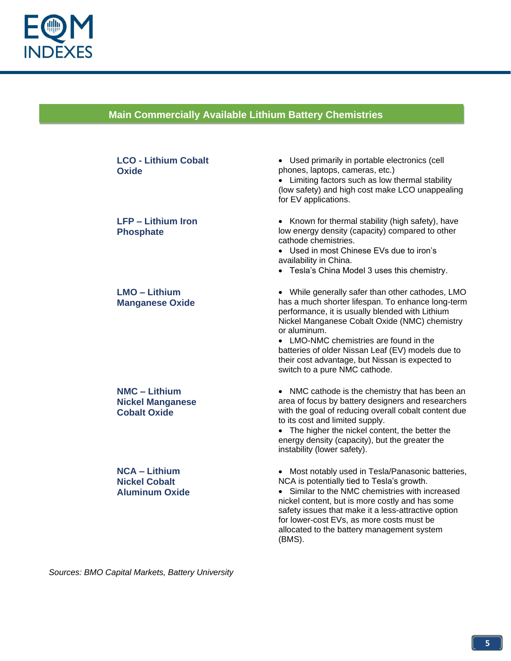

# **Main Commercially Available Lithium Battery Chemistries**

**Lithium Battery Chemistries**

| <b>LCO - Lithium Cobalt</b><br>Oxide                                   | • Used primarily in portable electronics (cell<br>phones, laptops, cameras, etc.)<br>• Limiting factors such as low thermal stability<br>(low safety) and high cost make LCO unappealing<br>for EV applications.                                                                                                                                                                                             |
|------------------------------------------------------------------------|--------------------------------------------------------------------------------------------------------------------------------------------------------------------------------------------------------------------------------------------------------------------------------------------------------------------------------------------------------------------------------------------------------------|
| <b>LFP - Lithium Iron</b><br><b>Phosphate</b>                          | • Known for thermal stability (high safety), have<br>low energy density (capacity) compared to other<br>cathode chemistries.<br>• Used in most Chinese EVs due to iron's<br>availability in China.<br>• Tesla's China Model 3 uses this chemistry.                                                                                                                                                           |
| <b>LMO - Lithium</b><br><b>Manganese Oxide</b>                         | • While generally safer than other cathodes, LMO<br>has a much shorter lifespan. To enhance long-term<br>performance, it is usually blended with Lithium<br>Nickel Manganese Cobalt Oxide (NMC) chemistry<br>or aluminum.<br>• LMO-NMC chemistries are found in the<br>batteries of older Nissan Leaf (EV) models due to<br>their cost advantage, but Nissan is expected to<br>switch to a pure NMC cathode. |
| <b>NMC - Lithium</b><br><b>Nickel Manganese</b><br><b>Cobalt Oxide</b> | • NMC cathode is the chemistry that has been an<br>area of focus by battery designers and researchers<br>with the goal of reducing overall cobalt content due<br>to its cost and limited supply.<br>• The higher the nickel content, the better the<br>energy density (capacity), but the greater the<br>instability (lower safety).                                                                         |
| <b>NCA - Lithium</b><br><b>Nickel Cobalt</b><br><b>Aluminum Oxide</b>  | • Most notably used in Tesla/Panasonic batteries,<br>NCA is potentially tied to Tesla's growth.<br>Similar to the NMC chemistries with increased<br>$\bullet$<br>nickel content, but is more costly and has some<br>safety issues that make it a less-attractive option<br>for lower-cost EVs, as more costs must be<br>allocated to the battery management system<br>(BMS).                                 |

*Sources: BMO Capital Markets, Battery University*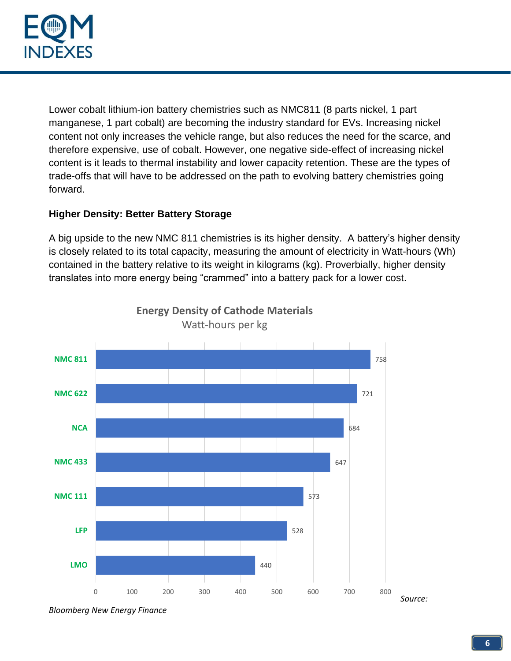

Lower cobalt lithium-ion battery chemistries such as NMC811 (8 parts nickel, 1 part manganese, 1 part cobalt) are becoming the industry standard for EVs. Increasing nickel content not only increases the vehicle range, but also reduces the need for the scarce, and therefore expensive, use of cobalt. However, one negative side-effect of increasing nickel content is it leads to thermal instability and lower capacity retention. These are the types of trade-offs that will have to be addressed on the path to evolving battery chemistries going forward.

### **Higher Density: Better Battery Storage**

A big upside to the new NMC 811 chemistries is its higher density. A battery's higher density is closely related to its total capacity, measuring the amount of electricity in Watt-hours (Wh) contained in the battery relative to its weight in kilograms (kg). Proverbially, higher density translates into more energy being "crammed" into a battery pack for a lower cost.



**Energy Density of Cathode Materials** Watt-hours per kg

*Bloomberg New Energy Finance*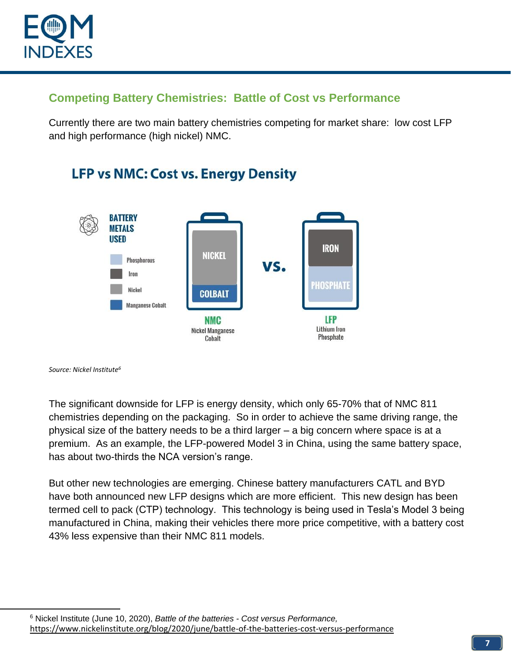

# **Competing Battery Chemistries: Battle of Cost vs Performance**

Currently there are two main battery chemistries competing for market share: low cost LFP and high performance (high nickel) NMC.



# **LFP vs NMC: Cost vs. Energy Density**

*Source: Nickel Institute<sup>6</sup>*

The significant downside for LFP is energy density, which only 65-70% that of NMC 811 chemistries depending on the packaging. So in order to achieve the same driving range, the physical size of the battery needs to be a third larger – a big concern where space is at a premium. As an example, the LFP-powered Model 3 in China, using the same battery space, has about two-thirds the NCA version's range.

But other new technologies are emerging. Chinese battery manufacturers CATL and BYD have both announced new LFP designs which are more efficient. This new design has been termed cell to pack (CTP) technology. This technology is being used in Tesla's Model 3 being manufactured in China, making their vehicles there more price competitive, with a battery cost 43% less expensive than their NMC 811 models.

<sup>6</sup> Nickel Institute (June 10, 2020), *Battle of the batteries - Cost versus Performance,*  <https://www.nickelinstitute.org/blog/2020/june/battle-of-the-batteries-cost-versus-performance>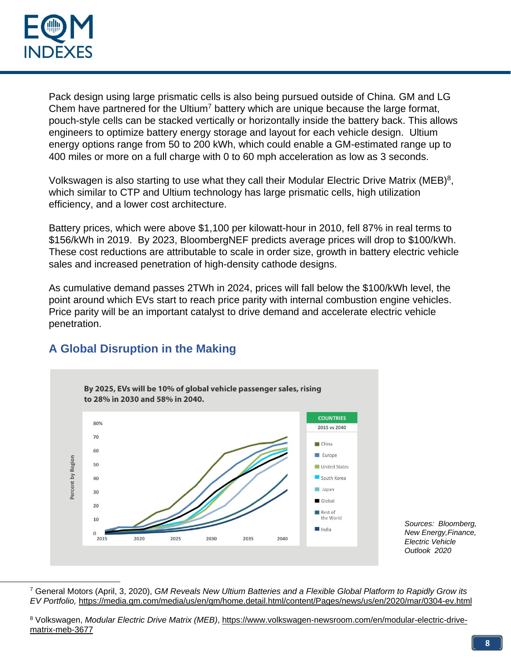

Pack design using large prismatic cells is also being pursued outside of China. GM and LG Chem have partnered for the Ultium<sup>7</sup> battery which are unique because the large format, pouch-style cells can be stacked vertically or horizontally inside the battery back. This allows engineers to optimize battery energy storage and layout for each vehicle design. Ultium energy options range from 50 to 200 kWh, which could enable a GM-estimated range up to 400 miles or more on a full charge with 0 to 60 mph acceleration as low as 3 seconds.

Volkswagen is also starting to use what they call their Modular Electric Drive Matrix (MEB)<sup>8</sup>, which similar to CTP and Ultium technology has large prismatic cells, high utilization efficiency, and a lower cost architecture.

Battery prices, which were above \$1,100 per kilowatt-hour in 2010, fell 87% in real terms to \$156/kWh in 2019. By 2023, BloombergNEF predicts average prices will drop to \$100/kWh. These cost reductions are attributable to scale in order size, growth in battery electric vehicle sales and increased penetration of high-density cathode designs.

As cumulative demand passes 2TWh in 2024, prices will fall below the \$100/kWh level, the point around which EVs start to reach price parity with internal combustion engine vehicles. Price parity will be an important catalyst to drive demand and accelerate electric vehicle penetration.



# **A Global Disruption in the Making**

*Sources: Bloomberg, New Energy,Finance, Electric Vehicle Outlook 2020*

<sup>7</sup> General Motors (April, 3, 2020), *GM Reveals New Ultium Batteries and a Flexible Global Platform to Rapidly Grow its EV Portfolio,* <https://media.gm.com/media/us/en/gm/home.detail.html/content/Pages/news/us/en/2020/mar/0304-ev.html>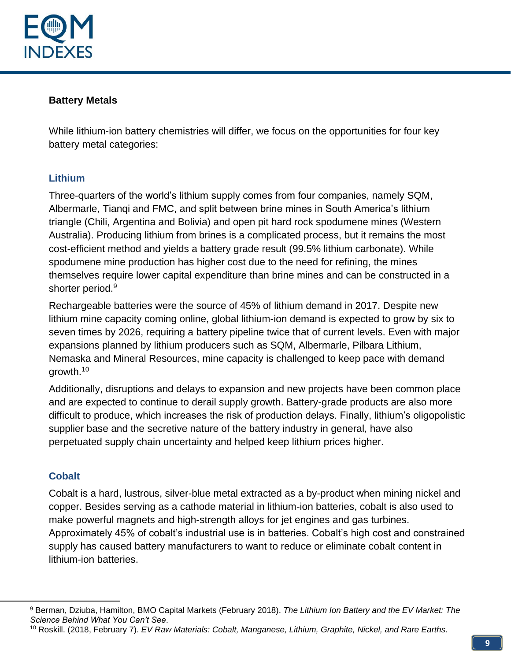

#### **Battery Metals**

While lithium-ion battery chemistries will differ, we focus on the opportunities for four key battery metal categories:

#### **Lithium**

Three-quarters of the world's lithium supply comes from four companies, namely SQM, Albermarle, Tianqi and FMC, and split between brine mines in South America's lithium triangle (Chili, Argentina and Bolivia) and open pit hard rock spodumene mines (Western Australia). Producing lithium from brines is a complicated process, but it remains the most cost-efficient method and yields a battery grade result (99.5% lithium carbonate). While spodumene mine production has higher cost due to the need for refining, the mines themselves require lower capital expenditure than brine mines and can be constructed in a shorter period.<sup>9</sup>

Rechargeable batteries were the source of 45% of lithium demand in 2017. Despite new lithium mine capacity coming online, global lithium-ion demand is expected to grow by six to seven times by 2026, requiring a battery pipeline twice that of current levels. Even with major expansions planned by lithium producers such as SQM, Albermarle, Pilbara Lithium, Nemaska and Mineral Resources, mine capacity is challenged to keep pace with demand growth.<sup>10</sup>

Additionally, disruptions and delays to expansion and new projects have been common place and are expected to continue to derail supply growth. Battery-grade products are also more difficult to produce, which increases the risk of production delays. Finally, lithium's oligopolistic supplier base and the secretive nature of the battery industry in general, have also perpetuated supply chain uncertainty and helped keep lithium prices higher.

### **Cobalt**

Cobalt is a hard, lustrous, silver-blue metal extracted as a by-product when mining nickel and copper. Besides serving as a cathode material in lithium-ion batteries, cobalt is also used to make powerful magnets and high-strength alloys for jet engines and gas turbines. Approximately 45% of cobalt's industrial use is in batteries. Cobalt's high cost and constrained supply has caused battery manufacturers to want to reduce or eliminate cobalt content in lithium-ion batteries.

<sup>9</sup> Berman, Dziuba, Hamilton, BMO Capital Markets (February 2018). *The Lithium Ion Battery and the EV Market: The Science Behind What You Can't See*.

<sup>10</sup> Roskill. (2018, February 7). *EV Raw Materials: Cobalt, Manganese, Lithium, Graphite, Nickel, and Rare Earths*.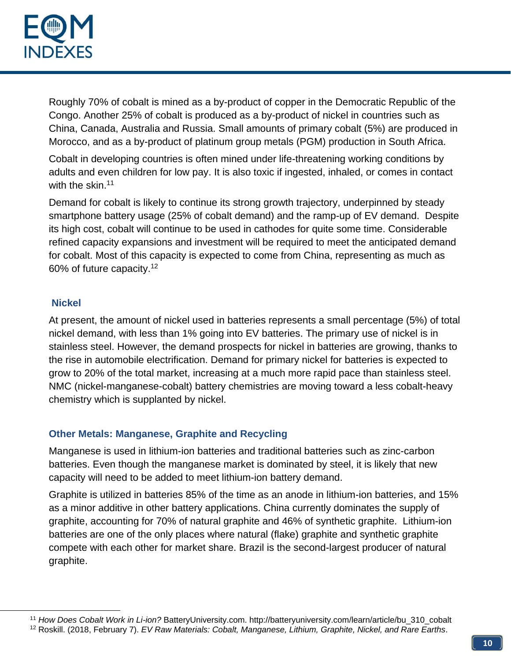

Roughly 70% of cobalt is mined as a by-product of copper in the Democratic Republic of the Congo. Another 25% of cobalt is produced as a by-product of nickel in countries such as China, Canada, Australia and Russia. Small amounts of primary cobalt (5%) are produced in Morocco, and as a by-product of platinum group metals (PGM) production in South Africa.

Cobalt in developing countries is often mined under life-threatening working conditions by adults and even children for low pay. It is also toxic if ingested, inhaled, or comes in contact with the skin.<sup>11</sup>

Demand for cobalt is likely to continue its strong growth trajectory, underpinned by steady smartphone battery usage (25% of cobalt demand) and the ramp-up of EV demand. Despite its high cost, cobalt will continue to be used in cathodes for quite some time. Considerable refined capacity expansions and investment will be required to meet the anticipated demand for cobalt. Most of this capacity is expected to come from China, representing as much as 60% of future capacity.<sup>12</sup>

#### **Nickel**

At present, the amount of nickel used in batteries represents a small percentage (5%) of total nickel demand, with less than 1% going into EV batteries. The primary use of nickel is in stainless steel. However, the demand prospects for nickel in batteries are growing, thanks to the rise in automobile electrification. Demand for primary nickel for batteries is expected to grow to 20% of the total market, increasing at a much more rapid pace than stainless steel. NMC (nickel-manganese-cobalt) battery chemistries are moving toward a less cobalt-heavy chemistry which is supplanted by nickel.

#### **Other Metals: Manganese, Graphite and Recycling**

Manganese is used in lithium-ion batteries and traditional batteries such as zinc-carbon batteries. Even though the manganese market is dominated by steel, it is likely that new capacity will need to be added to meet lithium-ion battery demand.

Graphite is utilized in batteries 85% of the time as an anode in lithium-ion batteries, and 15% as a minor additive in other battery applications. China currently dominates the supply of graphite, accounting for 70% of natural graphite and 46% of synthetic graphite. Lithium-ion batteries are one of the only places where natural (flake) graphite and synthetic graphite compete with each other for market share. Brazil is the second-largest producer of natural graphite.

<sup>11</sup> *How Does Cobalt Work in Li-ion?* BatteryUniversity.com. http://batteryuniversity.com/learn/article/bu\_310\_cobalt

<sup>12</sup> Roskill. (2018, February 7). *EV Raw Materials: Cobalt, Manganese, Lithium, Graphite, Nickel, and Rare Earths*.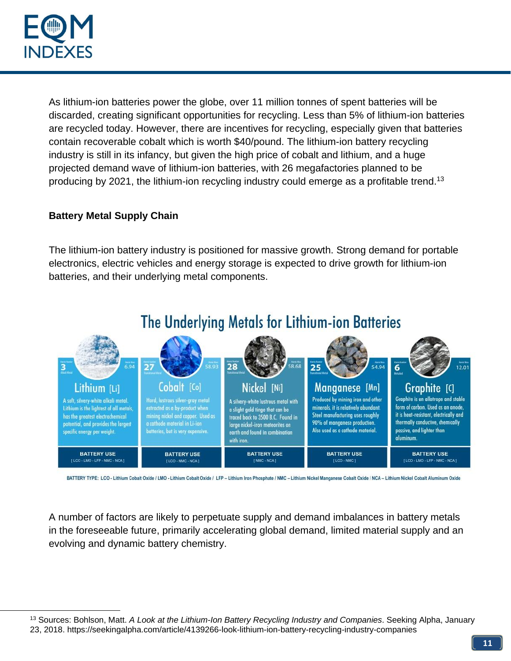

As lithium-ion batteries power the globe, over 11 million tonnes of spent batteries will be discarded, creating significant opportunities for recycling. Less than 5% of lithium-ion batteries are recycled today. However, there are incentives for recycling, especially given that batteries contain recoverable cobalt which is worth \$40/pound. The lithium-ion battery recycling industry is still in its infancy, but given the high price of cobalt and lithium, and a huge projected demand wave of lithium-ion batteries, with 26 megafactories planned to be producing by 2021, the lithium-ion recycling industry could emerge as a profitable trend.<sup>13</sup>

### **Battery Metal Supply Chain**

The lithium-ion battery industry is positioned for massive growth. Strong demand for portable electronics, electric vehicles and energy storage is expected to drive growth for lithium-ion batteries, and their underlying metal components.



BATTERY TYPE: LCO - Lithium Cobalt Oxide / LMO - Lithium Cobalt Oxide / LFP - Lithium Iron Phosphate / NMC - Lithium Nickel Manganese Cobalt Oxide / NCA - Lithium Nickel Cobalt Aluminum Oxide

A number of factors are likely to perpetuate supply and demand imbalances in battery metals in the foreseeable future, primarily accelerating global demand, limited material supply and an evolving and dynamic battery chemistry.

<sup>13</sup> Sources: Bohlson, Matt. *A Look at the Lithium-Ion Battery Recycling Industry and Companies*. Seeking Alpha, January 23, 2018. https://seekingalpha.com/article/4139266-look-lithium-ion-battery-recycling-industry-companies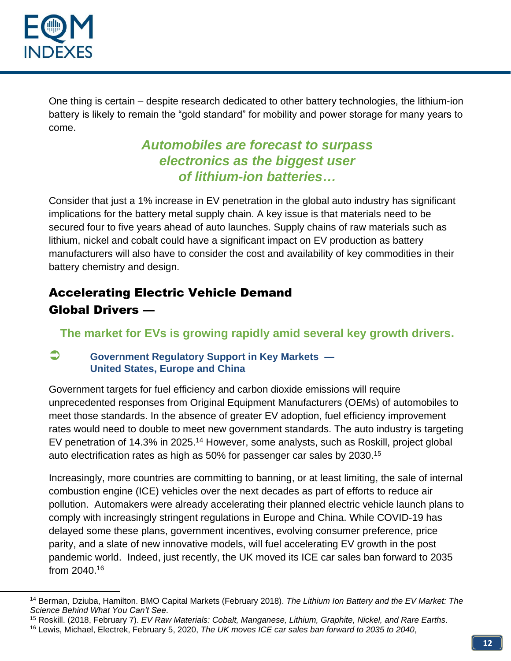

One thing is certain – despite research dedicated to other battery technologies, the lithium-ion battery is likely to remain the "gold standard" for mobility and power storage for many years to come.

# *Automobiles are forecast to surpass electronics as the biggest user of lithium-ion batteries…*

Consider that just a 1% increase in EV penetration in the global auto industry has significant implications for the battery metal supply chain. A key issue is that materials need to be secured four to five years ahead of auto launches. Supply chains of raw materials such as lithium, nickel and cobalt could have a significant impact on EV production as battery manufacturers will also have to consider the cost and availability of key commodities in their battery chemistry and design.

# Accelerating Electric Vehicle Demand Global Drivers —

**The market for EVs is growing rapidly amid several key growth drivers.**

### **Government Regulatory Support in Key Markets — United States, Europe and China**

Government targets for fuel efficiency and carbon dioxide emissions will require unprecedented responses from Original Equipment Manufacturers (OEMs) of automobiles to meet those standards. In the absence of greater EV adoption, fuel efficiency improvement rates would need to double to meet new government standards. The auto industry is targeting EV penetration of 14.3% in 2025.<sup>14</sup> However, some analysts, such as Roskill, project global auto electrification rates as high as 50% for passenger car sales by 2030.<sup>15</sup>

Increasingly, more countries are committing to banning, or at least limiting, the sale of internal combustion engine (ICE) vehicles over the next decades as part of efforts to reduce air pollution. Automakers were already accelerating their planned electric vehicle launch plans to comply with increasingly stringent regulations in Europe and China. While COVID-19 has delayed some these plans, government incentives, evolving consumer preference, price parity, and a slate of new innovative models, will fuel accelerating EV growth in the post pandemic world. Indeed, just recently, the UK moved its ICE car sales ban forward to 2035 from 2040.<sup>16</sup>

<sup>14</sup> Berman, Dziuba, Hamilton. BMO Capital Markets (February 2018). *The Lithium Ion Battery and the EV Market: The Science Behind What You Can't See*.

<sup>15</sup> Roskill. (2018, February 7). *EV Raw Materials: Cobalt, Manganese, Lithium, Graphite, Nickel, and Rare Earths*.

<sup>16</sup> Lewis, Michael, Electrek, February 5, 2020, *The UK moves ICE car sales ban forward to 2035 to 2040*,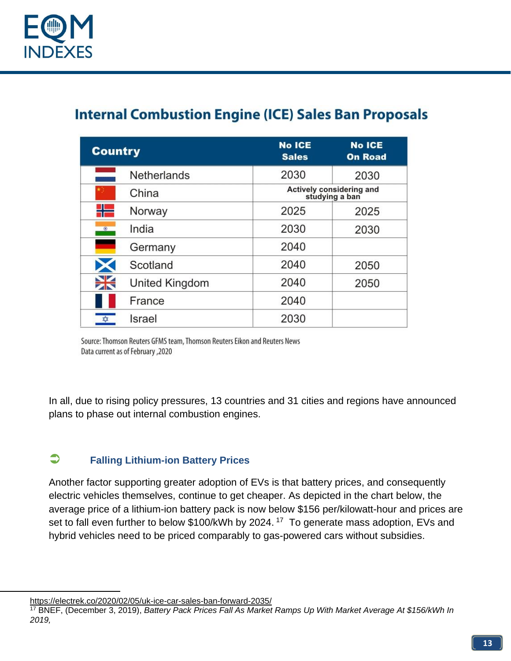

# **Internal Combustion Engine (ICE) Sales Ban Proposals**

| <b>Country</b>      | <b>No ICE</b><br><b>Sales</b>              | <b>No ICE</b><br><b>On Road</b> |
|---------------------|--------------------------------------------|---------------------------------|
| <b>Netherlands</b>  | 2030                                       | 2030                            |
| China               | Actively considering and<br>studying a ban |                                 |
| n.<br>Norway        | 2025                                       | 2025                            |
| India<br>$^{\circ}$ | 2030                                       | 2030                            |
| Germany             | 2040                                       |                                 |
| Scotland            | 2040                                       | 2050                            |
| United Kingdom      | 2040                                       | 2050                            |
| France              | 2040                                       |                                 |
| ♦<br>Israel         | 2030                                       |                                 |

Source: Thomson Reuters GFMS team, Thomson Reuters Eikon and Reuters News Data current as of February , 2020

In all, due to rising policy pressures, 13 countries and 31 cities and regions have announced plans to phase out internal combustion engines.

### **Falling Lithium-ion Battery Prices**

Another factor supporting greater adoption of EVs is that battery prices, and consequently electric vehicles themselves, continue to get cheaper. As depicted in the chart below, the average price of a lithium-ion battery pack is now below \$156 per/kilowatt-hour and prices are set to fall even further to below \$100/kWh by 2024.<sup>17</sup> To generate mass adoption, EVs and hybrid vehicles need to be priced comparably to gas-powered cars without subsidies.

<https://electrek.co/2020/02/05/uk-ice-car-sales-ban-forward-2035/>

<sup>17</sup> BNEF, (December 3, 2019), *Battery Pack Prices Fall As Market Ramps Up With Market Average At \$156/kWh In 2019,*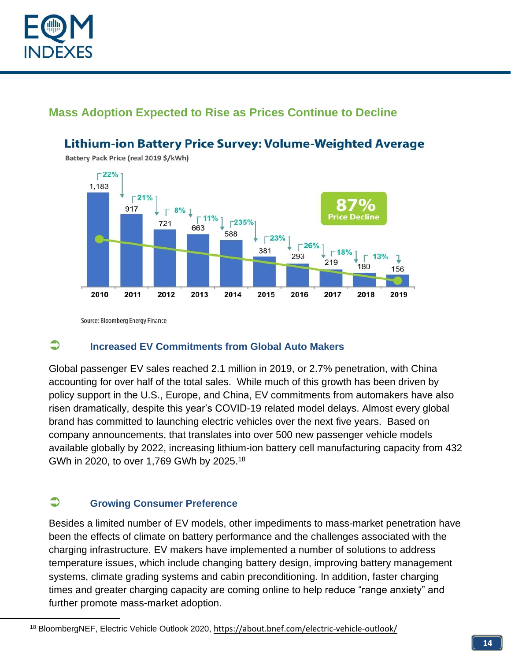

# **Mass Adoption Expected to Rise as Prices Continue to Decline**

#### $\Gamma$ 22% 1,183  $\Gamma$ 21%  $8\%$   $\downarrow$ 917  $\begin{bmatrix} 11\% \\ 63 \end{bmatrix}$   $\begin{bmatrix} 235\% \\ 502 \end{bmatrix}$ Price Declin 721 663 588  $\Gamma$ 23%  $\Gamma$ 26% 381  $\Gamma$ 18% 293  $13%$ ı 219 180 156 2010 2017 2011 2012 2013 2014 2015 2016 2018 2019

**Lithium-ion Battery Price Survey: Volume-Weighted Average** 

Battery Pack Price (real 2019 \$/kWh)

Source: Bloomberg Energy Finance

### **Increased EV Commitments from Global Auto Makers**

Global passenger EV sales reached 2.1 million in 2019, or 2.7% penetration, with China accounting for over half of the total sales. While much of this growth has been driven by policy support in the U.S., Europe, and China, EV commitments from automakers have also risen dramatically, despite this year's COVID-19 related model delays. Almost every global brand has committed to launching electric vehicles over the next five years. Based on company announcements, that translates into over 500 new passenger vehicle models available globally by 2022, increasing lithium-ion battery cell manufacturing capacity from 432 GWh in 2020, to over 1,769 GWh by 2025.<sup>18</sup>

### **Growing Consumer Preference**

Besides a limited number of EV models, other impediments to mass-market penetration have been the effects of climate on battery performance and the challenges associated with the charging infrastructure. EV makers have implemented a number of solutions to address temperature issues, which include changing battery design, improving battery management systems, climate grading systems and cabin preconditioning. In addition, faster charging times and greater charging capacity are coming online to help reduce "range anxiety" and further promote mass-market adoption.

<sup>18</sup> BloombergNEF, Electric Vehicle Outlook 2020, <https://about.bnef.com/electric-vehicle-outlook/>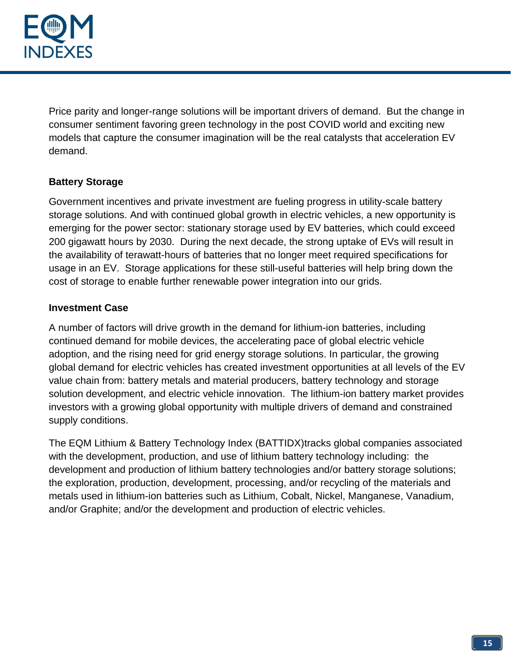

Price parity and longer-range solutions will be important drivers of demand. But the change in consumer sentiment favoring green technology in the post COVID world and exciting new models that capture the consumer imagination will be the real catalysts that acceleration EV demand.

### **Battery Storage**

Government incentives and private investment are fueling progress in utility-scale battery storage solutions. And with continued global growth in electric vehicles, a new opportunity is emerging for the power sector: stationary storage used by EV batteries, which could exceed 200 gigawatt hours by 2030. During the next decade, the strong uptake of EVs will result in the availability of terawatt-hours of batteries that no longer meet required specifications for usage in an EV. Storage applications for these still-useful batteries will help bring down the cost of storage to enable further renewable power integration into our grids.

#### **Investment Case**

A number of factors will drive growth in the demand for lithium-ion batteries, including continued demand for mobile devices, the accelerating pace of global electric vehicle adoption, and the rising need for grid energy storage solutions. In particular, the growing global demand for electric vehicles has created investment opportunities at all levels of the EV value chain from: battery metals and material producers, battery technology and storage solution development, and electric vehicle innovation. The lithium-ion battery market provides investors with a growing global opportunity with multiple drivers of demand and constrained supply conditions.

The EQM Lithium & Battery Technology Index (BATTIDX)tracks global companies associated with the development, production, and use of lithium battery technology including: the development and production of lithium battery technologies and/or battery storage solutions; the exploration, production, development, processing, and/or recycling of the materials and metals used in lithium-ion batteries such as Lithium, Cobalt, Nickel, Manganese, Vanadium, and/or Graphite; and/or the development and production of electric vehicles.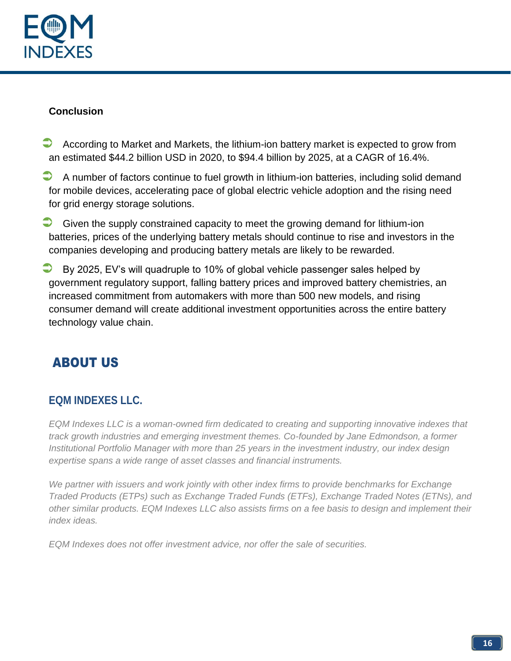

### **Conclusion**

- According to Market and Markets, the lithium-ion battery market is expected to grow from an estimated \$44.2 billion USD in 2020, to \$94.4 billion by 2025, at a CAGR of 16.4%.
- A number of factors continue to fuel growth in lithium-ion batteries, including solid demand for mobile devices, accelerating pace of global electric vehicle adoption and the rising need for grid energy storage solutions.
- $\Box$  Given the supply constrained capacity to meet the growing demand for lithium-ion batteries, prices of the underlying battery metals should continue to rise and investors in the companies developing and producing battery metals are likely to be rewarded.
- By 2025, EV's will quadruple to 10% of global vehicle passenger sales helped by government regulatory support, falling battery prices and improved battery chemistries, an increased commitment from automakers with more than 500 new models, and rising consumer demand will create additional investment opportunities across the entire battery technology value chain.

# ABOUT US

# **EQM INDEXES LLC.**

*EQM Indexes LLC is a woman-owned firm dedicated to creating and supporting innovative indexes that track growth industries and emerging investment themes. Co-founded by Jane Edmondson, a former Institutional Portfolio Manager with more than 25 years in the investment industry, our index design expertise spans a wide range of asset classes and financial instruments.*

*We partner with issuers and work jointly with other index firms to provide benchmarks for Exchange Traded Products (ETPs) such as Exchange Traded Funds (ETFs), Exchange Traded Notes (ETNs), and other similar products. EQM Indexes LLC also assists firms on a fee basis to design and implement their index ideas.*

*EQM Indexes does not offer investment advice, nor offer the sale of securities.*